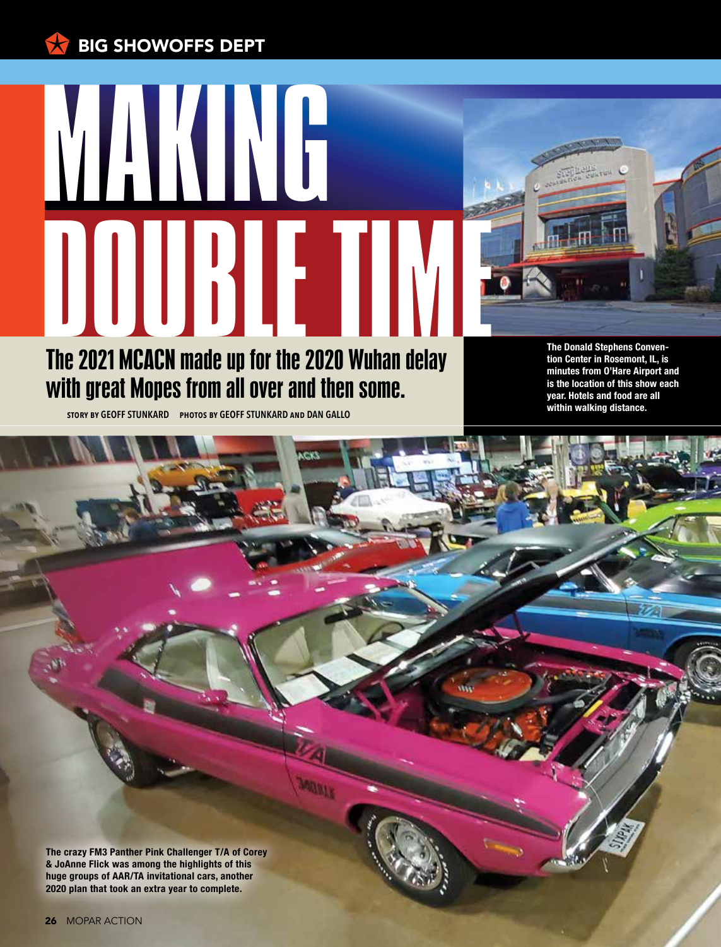## $\mathbf{L}$ BIG SHOWOFFS DEPT



**story by GEOFF STUNKARD photos by GEOFF STUNKARD and DAN GALLO**

**The Donald Stephens Convention Center in Rosemont, IL, is minutes from O'Hare Airport and is the location of this show each year. Hotels and food are all within walking distance.**

**The crazy FM3 Panther Pink Challenger T/A of Corey & JoAnne Flick was among the highlights of this huge groups of AAR/TA invitational cars, another 2020 plan that took an extra year to complete.**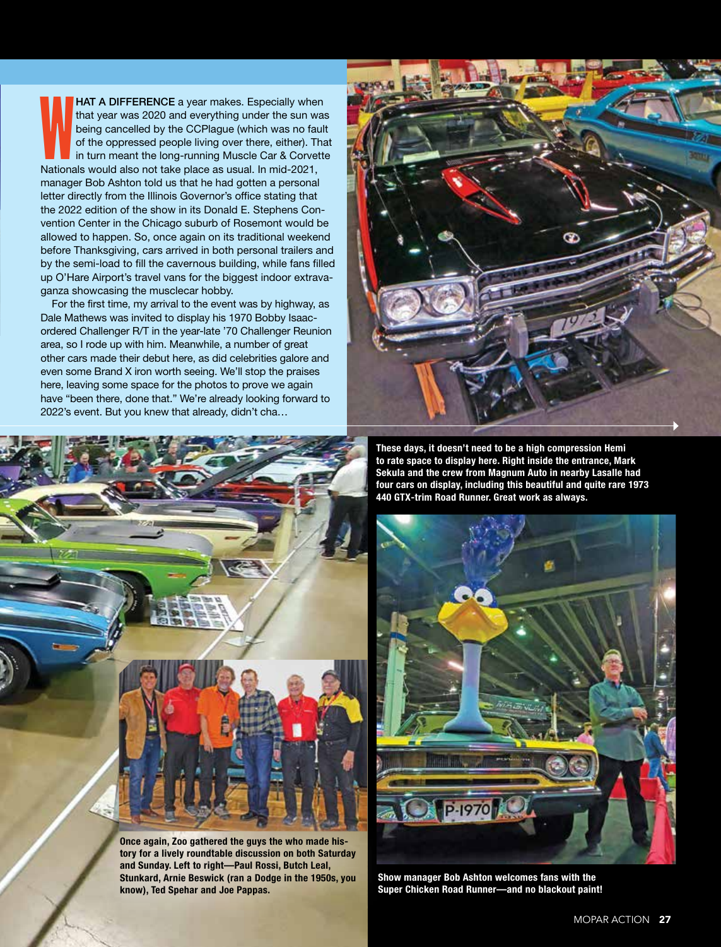**HAT A DIFFERENCE** a year makes. Especially where that year was 2020 and everything under the sun was being cancelled by the CCPlague (which was no faultion of the oppressed people living over there, either). The in turn m HAT A DIFFERENCE a year makes. Especially when that year was 2020 and everything under the sun was being cancelled by the CCPlague (which was no fault of the oppressed people living over there, either). That in turn meant the long-running Muscle Car & Corvette manager Bob Ashton told us that he had gotten a personal letter directly from the Illinois Governor's office stating that the 2022 edition of the show in its Donald E. Stephens Convention Center in the Chicago suburb of Rosemont would be allowed to happen. So, once again on its traditional weekend before Thanksgiving, cars arrived in both personal trailers and by the semi-load to fill the cavernous building, while fans filled up O'Hare Airport's travel vans for the biggest indoor extravaganza showcasing the musclecar hobby.

For the first time, my arrival to the event was by highway, as Dale Mathews was invited to display his 1970 Bobby Isaacordered Challenger R/T in the year-late '70 Challenger Reunion area, so I rode up with him. Meanwhile, a number of great other cars made their debut here, as did celebrities galore and even some Brand X iron worth seeing. We'll stop the praises here, leaving some space for the photos to prove we again have "been there, done that." We're already looking forward to 2022's event. But you knew that already, didn't cha…



**Once again, Zoo gathered the guys the who made history for a lively roundtable discussion on both Saturday and Sunday. Left to right—Paul Rossi, Butch Leal, Stunkard, Arnie Beswick (ran a Dodge in the 1950s, you know), Ted Spehar and Joe Pappas.** 



**These days, it doesn't need to be a high compression Hemi to rate space to display here. Right inside the entrance, Mark Sekula and the crew from Magnum Auto in nearby Lasalle had four cars on display, including this beautiful and quite rare 1973 440 GTX-trim Road Runner. Great work as always.**



**Show manager Bob Ashton welcomes fans with the Super Chicken Road Runner—and no blackout paint!**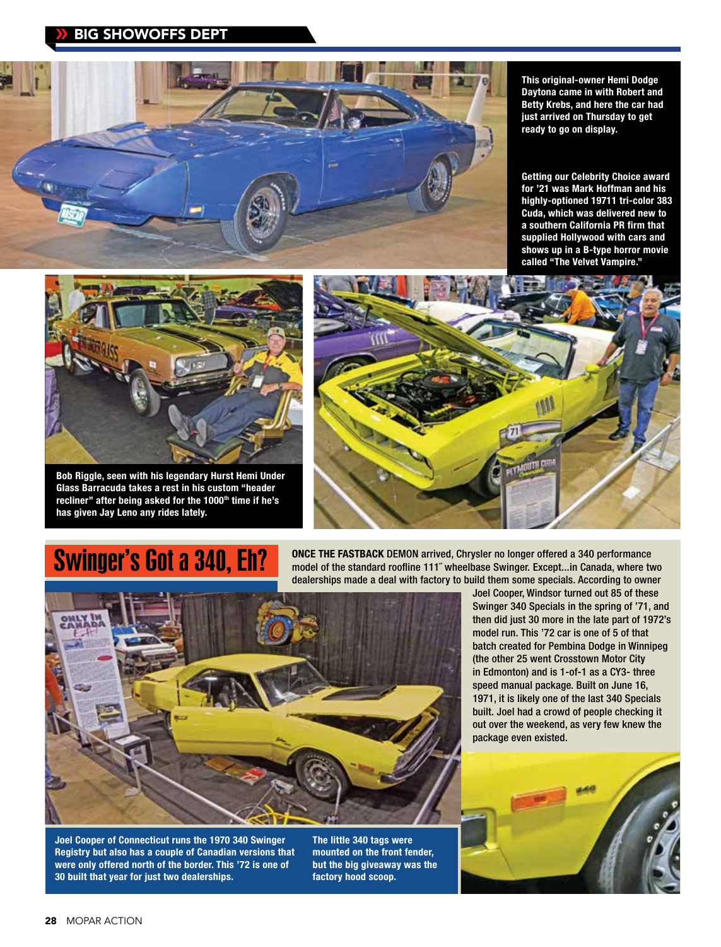

**This original-owner Hemi Dodge Daytona came in with Robert and Betty Krebs, and here the car had just arrived on Thursday to get ready to go on display.**

**Getting our Celebrity Choice award for '21 was Mark Hoffman and his highly-optioned 19711 tri-color 383 Cuda, which was delivered new to a southern California PR firm that supplied Hollywood with cars and shows up in a B-type horror movie called "The Velvet Vampire."** 



**Bob Riggle, seen with his legendary Hurst Hemi Under Glass Barracuda takes a rest in his custom "header**  recliner" after being asked for the 1000<sup>th</sup> time if he's **has given Jay Leno any rides lately.** 



## **Swinger's Got a 340, Eh?**

**ONCE THE FASTBACK** DEMON arrived, Chrysler no longer offered a 340 performance model of the standard roofline 111˝ wheelbase Swinger. Except...in Canada, where two dealerships made a deal with factory to build them some specials. According to owner



**Joel Cooper of Connecticut runs the 1970 340 Swinger Registry but also has a couple of Canadian versions that were only offered north of the border. This '72 is one of 30 built that year for just two dealerships.** 

**The little 340 tags were mounted on the front fender, but the big giveaway was the factory hood scoop.**

Joel Cooper, Windsor turned out 85 of these Swinger 340 Specials in the spring of '71, and then did just 30 more in the late part of 1972's model run. This '72 car is one of 5 of that batch created for Pembina Dodge in Winnipeg (the other 25 went Crosstown Motor City in Edmonton) and is 1-of-1 as a CY3- three speed manual package. Built on June 16, 1971, it is likely one of the last 340 Specials built. Joel had a crowd of people checking it out over the weekend, as very few knew the package even existed.

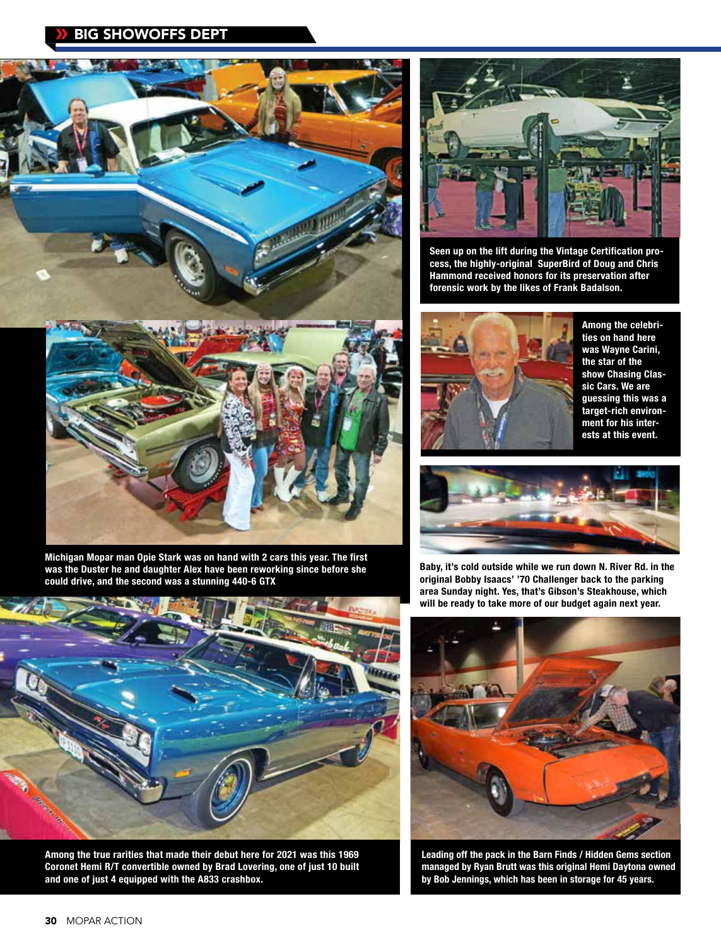## BIG SHOWOFFS DEPT  $\boldsymbol{\Sigma}$





**Seen up on the lift during the Vintage Certification process, the highly-original SuperBird of Doug and Chris Hammond received honors for its preservation after forensic work by the likes of Frank Badalson.**



**Among the celebrities on hand here was Wayne Carini, the star of the show Chasing Classic Cars. We are guessing this was a target-rich environment for his interests at this event.**



**Michigan Mopar man Opie Stark was on hand with 2 cars this year. The first was the Duster he and daughter Alex have been reworking since before she could drive, and the second was a stunning 440-6 GTX**



**Among the true rarities that made their debut here for 2021 was this 1969 Coronet Hemi R/T convertible owned by Brad Lovering, one of just 10 built and one of just 4 equipped with the A833 crashbox.**



**Baby, it's cold outside while we run down N. River Rd. in the original Bobby Isaacs' '70 Challenger back to the parking area Sunday night. Yes, that's Gibson's Steakhouse, which will be ready to take more of our budget again next year.** 



**Leading off the pack in the Barn Finds / Hidden Gems section managed by Ryan Brutt was this original Hemi Daytona owned by Bob Jennings, which has been in storage for 45 years.**